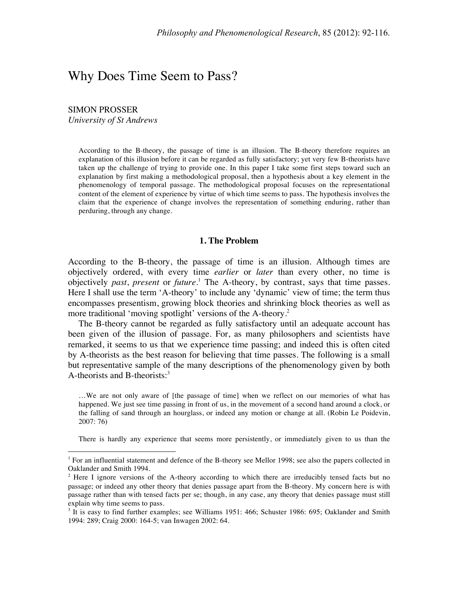# Why Does Time Seem to Pass?

SIMON PROSSER *University of St Andrews*

<u>.</u>

According to the B-theory, the passage of time is an illusion. The B-theory therefore requires an explanation of this illusion before it can be regarded as fully satisfactory; yet very few B-theorists have taken up the challenge of trying to provide one. In this paper I take some first steps toward such an explanation by first making a methodological proposal, then a hypothesis about a key element in the phenomenology of temporal passage. The methodological proposal focuses on the representational content of the element of experience by virtue of which time seems to pass. The hypothesis involves the claim that the experience of change involves the representation of something enduring, rather than perduring, through any change.

#### **1. The Problem**

According to the B-theory, the passage of time is an illusion. Although times are objectively ordered, with every time *earlier* or *later* than every other, no time is objectively *past*, *present* or *future*. <sup>1</sup> The A-theory, by contrast, says that time passes. Here I shall use the term 'A-theory' to include any 'dynamic' view of time; the term thus encompasses presentism, growing block theories and shrinking block theories as well as more traditional 'moving spotlight' versions of the A-theory.<sup>2</sup>

The B-theory cannot be regarded as fully satisfactory until an adequate account has been given of the illusion of passage. For, as many philosophers and scientists have remarked, it seems to us that we experience time passing; and indeed this is often cited by A-theorists as the best reason for believing that time passes. The following is a small but representative sample of the many descriptions of the phenomenology given by both A-theorists and B-theorists:<sup>3</sup>

…We are not only aware of [the passage of time] when we reflect on our memories of what has happened. We just see time passing in front of us, in the movement of a second hand around a clock, or the falling of sand through an hourglass, or indeed any motion or change at all. (Robin Le Poidevin, 2007: 76)

There is hardly any experience that seems more persistently, or immediately given to us than the

<sup>&</sup>lt;sup>1</sup> For an influential statement and defence of the B-theory see Mellor 1998; see also the papers collected in Oaklander and Smith 1994.

<sup>&</sup>lt;sup>2</sup> Here I ignore versions of the A-theory according to which there are irreducibly tensed facts but no passage; or indeed any other theory that denies passage apart from the B-theory. My concern here is with passage rather than with tensed facts per se; though, in any case, any theory that denies passage must still explain why time seems to pass.

<sup>&</sup>lt;sup>3</sup> It is easy to find further examples; see Williams 1951: 466; Schuster 1986: 695; Oaklander and Smith 1994: 289; Craig 2000: 164-5; van Inwagen 2002: 64.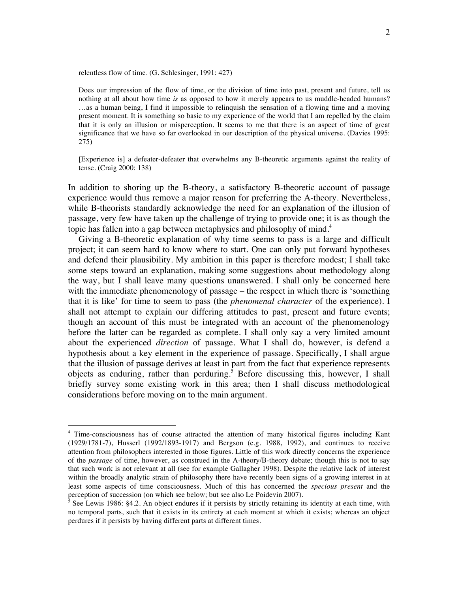relentless flow of time. (G. Schlesinger, 1991: 427)

1

Does our impression of the flow of time, or the division of time into past, present and future, tell us nothing at all about how time *is* as opposed to how it merely appears to us muddle-headed humans? …as a human being, I find it impossible to relinquish the sensation of a flowing time and a moving present moment. It is something so basic to my experience of the world that I am repelled by the claim that it is only an illusion or misperception. It seems to me that there is an aspect of time of great significance that we have so far overlooked in our description of the physical universe. (Davies 1995: 275)

[Experience is] a defeater-defeater that overwhelms any B-theoretic arguments against the reality of tense. (Craig 2000: 138)

In addition to shoring up the B-theory, a satisfactory B-theoretic account of passage experience would thus remove a major reason for preferring the A-theory. Nevertheless, while B-theorists standardly acknowledge the need for an explanation of the illusion of passage, very few have taken up the challenge of trying to provide one; it is as though the topic has fallen into a gap between metaphysics and philosophy of mind.<sup>4</sup>

Giving a B-theoretic explanation of why time seems to pass is a large and difficult project; it can seem hard to know where to start. One can only put forward hypotheses and defend their plausibility. My ambition in this paper is therefore modest; I shall take some steps toward an explanation, making some suggestions about methodology along the way, but I shall leave many questions unanswered. I shall only be concerned here with the immediate phenomenology of passage – the respect in which there is 'something that it is like' for time to seem to pass (the *phenomenal character* of the experience). I shall not attempt to explain our differing attitudes to past, present and future events; though an account of this must be integrated with an account of the phenomenology before the latter can be regarded as complete. I shall only say a very limited amount about the experienced *direction* of passage. What I shall do, however, is defend a hypothesis about a key element in the experience of passage. Specifically, I shall argue that the illusion of passage derives at least in part from the fact that experience represents objects as enduring, rather than perduring. <sup>5</sup> Before discussing this, however, I shall briefly survey some existing work in this area; then I shall discuss methodological considerations before moving on to the main argument.

<sup>4</sup> Time-consciousness has of course attracted the attention of many historical figures including Kant (1929/1781-7), Husserl (1992/1893-1917) and Bergson (e.g. 1988, 1992), and continues to receive attention from philosophers interested in those figures. Little of this work directly concerns the experience of the *passage* of time, however, as construed in the A-theory/B-theory debate; though this is not to say that such work is not relevant at all (see for example Gallagher 1998). Despite the relative lack of interest within the broadly analytic strain of philosophy there have recently been signs of a growing interest in at least some aspects of time consciousness. Much of this has concerned the *specious present* and the perception of succession (on which see below; but see also Le Poidevin 2007).

<sup>&</sup>lt;sup>5</sup> See Lewis 1986: §4.2. An object endures if it persists by strictly retaining its identity at each time, with no temporal parts, such that it exists in its entirety at each moment at which it exists; whereas an object perdures if it persists by having different parts at different times.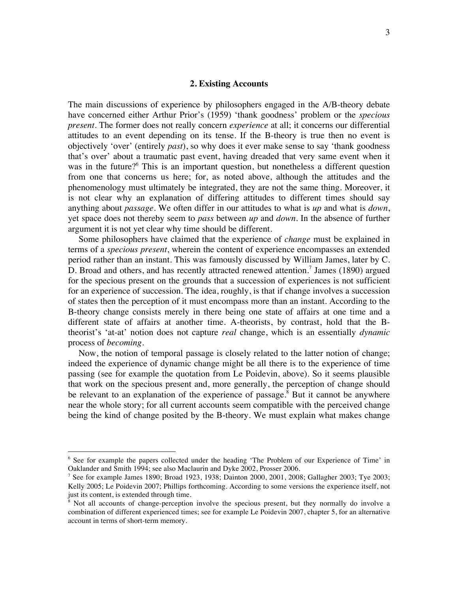# **2. Existing Accounts**

The main discussions of experience by philosophers engaged in the A/B-theory debate have concerned either Arthur Prior's (1959) 'thank goodness' problem or the *specious present*. The former does not really concern *experience* at all; it concerns our differential attitudes to an event depending on its tense. If the B-theory is true then no event is objectively 'over' (entirely *past*), so why does it ever make sense to say 'thank goodness that's over' about a traumatic past event, having dreaded that very same event when it was in the future?<sup>6</sup> This is an important question, but nonetheless a different question from one that concerns us here; for, as noted above, although the attitudes and the phenomenology must ultimately be integrated, they are not the same thing. Moreover, it is not clear why an explanation of differing attitudes to different times should say anything about *passage*. We often differ in our attitudes to what is *up* and what is *down*, yet space does not thereby seem to *pass* between *up* and *down*. In the absence of further argument it is not yet clear why time should be different.

Some philosophers have claimed that the experience of *change* must be explained in terms of a *specious present*, wherein the content of experience encompasses an extended period rather than an instant. This was famously discussed by William James, later by C. D. Broad and others, and has recently attracted renewed attention.<sup>7</sup> James (1890) argued for the specious present on the grounds that a succession of experiences is not sufficient for an experience of succession. The idea, roughly, is that if change involves a succession of states then the perception of it must encompass more than an instant. According to the B-theory change consists merely in there being one state of affairs at one time and a different state of affairs at another time. A-theorists, by contrast, hold that the Btheorist's 'at-at' notion does not capture *real* change, which is an essentially *dynamic* process of *becoming*.

Now, the notion of temporal passage is closely related to the latter notion of change; indeed the experience of dynamic change might be all there is to the experience of time passing (see for example the quotation from Le Poidevin, above). So it seems plausible that work on the specious present and, more generally, the perception of change should be relevant to an explanation of the experience of passage.<sup>8</sup> But it cannot be anywhere near the whole story; for all current accounts seem compatible with the perceived change being the kind of change posited by the B-theory. We must explain what makes change

<sup>6</sup> See for example the papers collected under the heading 'The Problem of our Experience of Time' in Oaklander and Smith 1994; see also Maclaurin and Dyke 2002, Prosser 2006.

<sup>7</sup> See for example James 1890; Broad 1923, 1938; Dainton 2000, 2001, 2008; Gallagher 2003; Tye 2003; Kelly 2005; Le Poidevin 2007; Phillips forthcoming. According to some versions the experience itself, not just its content, is extended through time.

<sup>&</sup>lt;sup>8</sup> Not all accounts of change-perception involve the specious present, but they normally do involve a combination of different experienced times; see for example Le Poidevin 2007, chapter 5, for an alternative account in terms of short-term memory.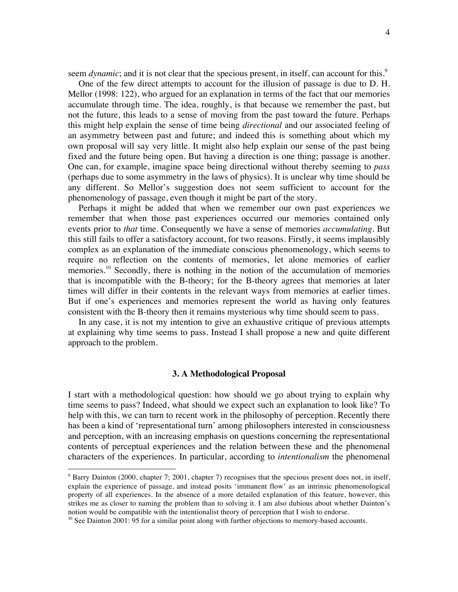seem *dynamic*; and it is not clear that the specious present, in itself, can account for this.<sup>9</sup>

One of the few direct attempts to account for the illusion of passage is due to D. H. Mellor (1998: 122), who argued for an explanation in terms of the fact that our memories accumulate through time. The idea, roughly, is that because we remember the past, but not the future, this leads to a sense of moving from the past toward the future. Perhaps this might help explain the sense of time being *directional* and our associated feeling of an asymmetry between past and future; and indeed this is something about which my own proposal will say very little. It might also help explain our sense of the past being fixed and the future being open. But having a direction is one thing; passage is another. One can, for example, imagine space being directional without thereby seeming to *pass* (perhaps due to some asymmetry in the laws of physics). It is unclear why time should be any different. So Mellor's suggestion does not seem sufficient to account for the phenomenology of passage, even though it might be part of the story.

Perhaps it might be added that when we remember our own past experiences we remember that when those past experiences occurred our memories contained only events prior to *that* time. Consequently we have a sense of memories *accumulating*. But this still fails to offer a satisfactory account, for two reasons. Firstly, it seems implausibly complex as an explanation of the immediate conscious phenomenology, which seems to require no reflection on the contents of memories, let alone memories of earlier memories.<sup>10</sup> Secondly, there is nothing in the notion of the accumulation of memories that is incompatible with the B-theory; for the B-theory agrees that memories at later times will differ in their contents in the relevant ways from memories at earlier times. But if one's experiences and memories represent the world as having only features consistent with the B-theory then it remains mysterious why time should seem to pass.

In any case, it is not my intention to give an exhaustive critique of previous attempts at explaining why time seems to pass. Instead I shall propose a new and quite different approach to the problem.

# **3. A Methodological Proposal**

I start with a methodological question: how should we go about trying to explain why time seems to pass? Indeed, what should we expect such an explanation to look like? To help with this, we can turn to recent work in the philosophy of perception. Recently there has been a kind of 'representational turn' among philosophers interested in consciousness and perception, with an increasing emphasis on questions concerning the representational contents of perceptual experiences and the relation between these and the phenomenal characters of the experiences. In particular, according to *intentionalism* the phenomenal

<sup>&</sup>lt;sup>9</sup> Barry Dainton (2000, chapter 7; 2001, chapter 7) recognises that the specious present does not, in itself, explain the experience of passage, and instead posits 'immanent flow' as an intrinsic phenomenological property of all experiences. In the absence of a more detailed explanation of this feature, however, this strikes me as closer to naming the problem than to solving it. I am also dubious about whether Dainton's notion would be compatible with the intentionalist theory of perception that I wish to endorse.

 $10$  See Dainton 2001: 95 for a similar point along with further objections to memory-based accounts.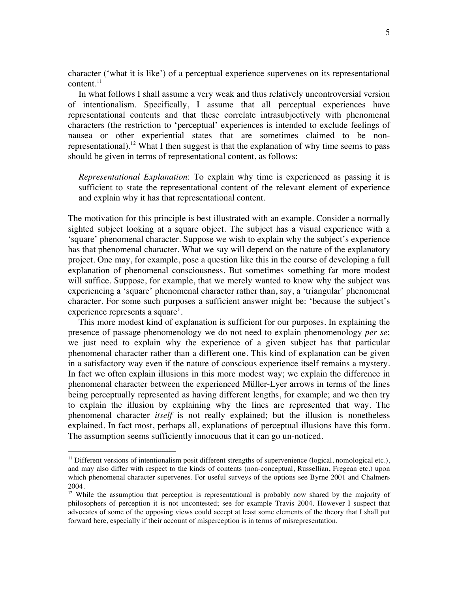character ('what it is like') of a perceptual experience supervenes on its representational  $content<sup>11</sup>$ 

In what follows I shall assume a very weak and thus relatively uncontroversial version of intentionalism. Specifically, I assume that all perceptual experiences have representational contents and that these correlate intrasubjectively with phenomenal characters (the restriction to 'perceptual' experiences is intended to exclude feelings of nausea or other experiential states that are sometimes claimed to be nonrepresentational).<sup>12</sup> What I then suggest is that the explanation of why time seems to pass should be given in terms of representational content, as follows:

*Representational Explanation*: To explain why time is experienced as passing it is sufficient to state the representational content of the relevant element of experience and explain why it has that representational content.

The motivation for this principle is best illustrated with an example. Consider a normally sighted subject looking at a square object. The subject has a visual experience with a 'square' phenomenal character. Suppose we wish to explain why the subject's experience has that phenomenal character. What we say will depend on the nature of the explanatory project. One may, for example, pose a question like this in the course of developing a full explanation of phenomenal consciousness. But sometimes something far more modest will suffice. Suppose, for example, that we merely wanted to know why the subject was experiencing a 'square' phenomenal character rather than, say, a 'triangular' phenomenal character. For some such purposes a sufficient answer might be: 'because the subject's experience represents a square'.

This more modest kind of explanation is sufficient for our purposes. In explaining the presence of passage phenomenology we do not need to explain phenomenology *per se*; we just need to explain why the experience of a given subject has that particular phenomenal character rather than a different one. This kind of explanation can be given in a satisfactory way even if the nature of conscious experience itself remains a mystery. In fact we often explain illusions in this more modest way; we explain the difference in phenomenal character between the experienced Müller-Lyer arrows in terms of the lines being perceptually represented as having different lengths, for example; and we then try to explain the illusion by explaining why the lines are represented that way. The phenomenal character *itself* is not really explained; but the illusion is nonetheless explained. In fact most, perhaps all, explanations of perceptual illusions have this form. The assumption seems sufficiently innocuous that it can go un-noticed.

<sup>&</sup>lt;sup>11</sup> Different versions of intentionalism posit different strengths of supervenience (logical, nomological etc.), and may also differ with respect to the kinds of contents (non-conceptual, Russellian, Fregean etc.) upon which phenomenal character supervenes. For useful surveys of the options see Byrne 2001 and Chalmers 2004.

<sup>&</sup>lt;sup>12</sup> While the assumption that perception is representational is probably now shared by the majority of philosophers of perception it is not uncontested; see for example Travis 2004. However I suspect that advocates of some of the opposing views could accept at least some elements of the theory that I shall put forward here, especially if their account of misperception is in terms of misrepresentation.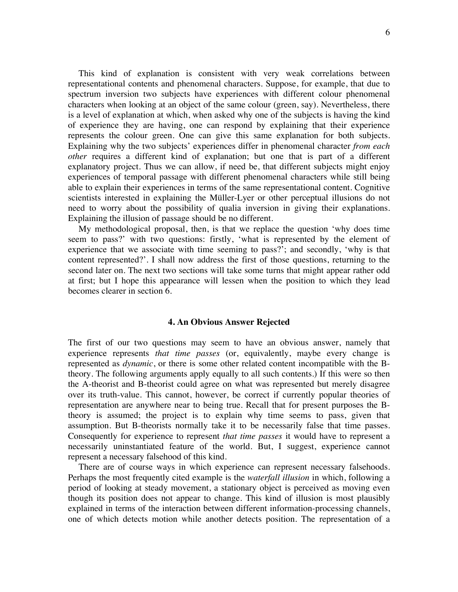This kind of explanation is consistent with very weak correlations between representational contents and phenomenal characters. Suppose, for example, that due to spectrum inversion two subjects have experiences with different colour phenomenal characters when looking at an object of the same colour (green, say). Nevertheless, there is a level of explanation at which, when asked why one of the subjects is having the kind of experience they are having, one can respond by explaining that their experience represents the colour green. One can give this same explanation for both subjects. Explaining why the two subjects' experiences differ in phenomenal character *from each other* requires a different kind of explanation; but one that is part of a different explanatory project. Thus we can allow, if need be, that different subjects might enjoy experiences of temporal passage with different phenomenal characters while still being able to explain their experiences in terms of the same representational content. Cognitive scientists interested in explaining the Müller-Lyer or other perceptual illusions do not need to worry about the possibility of qualia inversion in giving their explanations. Explaining the illusion of passage should be no different.

My methodological proposal, then, is that we replace the question 'why does time seem to pass?' with two questions: firstly, 'what is represented by the element of experience that we associate with time seeming to pass?'; and secondly, 'why is that content represented?'. I shall now address the first of those questions, returning to the second later on. The next two sections will take some turns that might appear rather odd at first; but I hope this appearance will lessen when the position to which they lead becomes clearer in section 6.

## **4. An Obvious Answer Rejected**

The first of our two questions may seem to have an obvious answer, namely that experience represents *that time passes* (or, equivalently, maybe every change is represented as *dynamic*, or there is some other related content incompatible with the Btheory. The following arguments apply equally to all such contents.) If this were so then the A-theorist and B-theorist could agree on what was represented but merely disagree over its truth-value. This cannot, however, be correct if currently popular theories of representation are anywhere near to being true. Recall that for present purposes the Btheory is assumed; the project is to explain why time seems to pass, given that assumption. But B-theorists normally take it to be necessarily false that time passes. Consequently for experience to represent *that time passes* it would have to represent a necessarily uninstantiated feature of the world. But, I suggest, experience cannot represent a necessary falsehood of this kind.

There are of course ways in which experience can represent necessary falsehoods. Perhaps the most frequently cited example is the *waterfall illusion* in which, following a period of looking at steady movement, a stationary object is perceived as moving even though its position does not appear to change. This kind of illusion is most plausibly explained in terms of the interaction between different information-processing channels, one of which detects motion while another detects position. The representation of a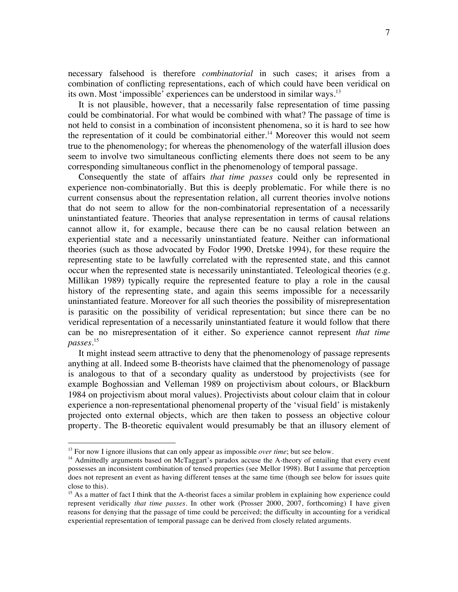necessary falsehood is therefore *combinatorial* in such cases; it arises from a combination of conflicting representations, each of which could have been veridical on its own. Most 'impossible' experiences can be understood in similar ways.13

It is not plausible, however, that a necessarily false representation of time passing could be combinatorial. For what would be combined with what? The passage of time is not held to consist in a combination of inconsistent phenomena, so it is hard to see how the representation of it could be combinatorial either.<sup>14</sup> Moreover this would not seem true to the phenomenology; for whereas the phenomenology of the waterfall illusion does seem to involve two simultaneous conflicting elements there does not seem to be any corresponding simultaneous conflict in the phenomenology of temporal passage.

Consequently the state of affairs *that time passes* could only be represented in experience non-combinatorially. But this is deeply problematic. For while there is no current consensus about the representation relation, all current theories involve notions that do not seem to allow for the non-combinatorial representation of a necessarily uninstantiated feature. Theories that analyse representation in terms of causal relations cannot allow it, for example, because there can be no causal relation between an experiential state and a necessarily uninstantiated feature. Neither can informational theories (such as those advocated by Fodor 1990, Dretske 1994), for these require the representing state to be lawfully correlated with the represented state, and this cannot occur when the represented state is necessarily uninstantiated. Teleological theories (e.g. Millikan 1989) typically require the represented feature to play a role in the causal history of the representing state, and again this seems impossible for a necessarily uninstantiated feature. Moreover for all such theories the possibility of misrepresentation is parasitic on the possibility of veridical representation; but since there can be no veridical representation of a necessarily uninstantiated feature it would follow that there can be no misrepresentation of it either. So experience cannot represent *that time passes*. 15

It might instead seem attractive to deny that the phenomenology of passage represents anything at all. Indeed some B-theorists have claimed that the phenomenology of passage is analogous to that of a secondary quality as understood by projectivists (see for example Boghossian and Velleman 1989 on projectivism about colours, or Blackburn 1984 on projectivism about moral values). Projectivists about colour claim that in colour experience a non-representational phenomenal property of the 'visual field' is mistakenly projected onto external objects, which are then taken to possess an objective colour property. The B-theoretic equivalent would presumably be that an illusory element of

<sup>&</sup>lt;sup>13</sup> For now I ignore illusions that can only appear as impossible *over time*; but see below.

<sup>&</sup>lt;sup>14</sup> Admittedly arguments based on McTaggart's paradox accuse the A-theory of entailing that every event possesses an inconsistent combination of tensed properties (see Mellor 1998). But I assume that perception does not represent an event as having different tenses at the same time (though see below for issues quite close to this).

<sup>&</sup>lt;sup>15</sup> As a matter of fact I think that the A-theorist faces a similar problem in explaining how experience could represent veridically *that time passes*. In other work (Prosser 2000, 2007, forthcoming) I have given reasons for denying that the passage of time could be perceived; the difficulty in accounting for a veridical experiential representation of temporal passage can be derived from closely related arguments.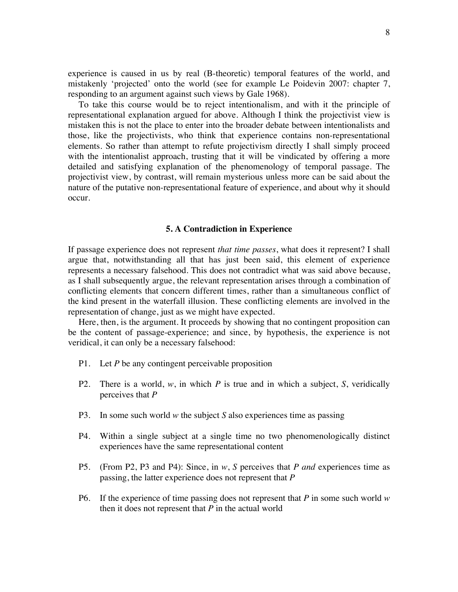experience is caused in us by real (B-theoretic) temporal features of the world, and mistakenly 'projected' onto the world (see for example Le Poidevin 2007: chapter 7, responding to an argument against such views by Gale 1968).

To take this course would be to reject intentionalism, and with it the principle of representational explanation argued for above. Although I think the projectivist view is mistaken this is not the place to enter into the broader debate between intentionalists and those, like the projectivists, who think that experience contains non-representational elements. So rather than attempt to refute projectivism directly I shall simply proceed with the intentionalist approach, trusting that it will be vindicated by offering a more detailed and satisfying explanation of the phenomenology of temporal passage. The projectivist view, by contrast, will remain mysterious unless more can be said about the nature of the putative non-representational feature of experience, and about why it should occur.

#### **5. A Contradiction in Experience**

If passage experience does not represent *that time passes*, what does it represent? I shall argue that, notwithstanding all that has just been said, this element of experience represents a necessary falsehood. This does not contradict what was said above because, as I shall subsequently argue, the relevant representation arises through a combination of conflicting elements that concern different times, rather than a simultaneous conflict of the kind present in the waterfall illusion. These conflicting elements are involved in the representation of change, just as we might have expected.

Here, then, is the argument. It proceeds by showing that no contingent proposition can be the content of passage-experience; and since, by hypothesis, the experience is not veridical, it can only be a necessary falsehood:

- P1. Let *P* be any contingent perceivable proposition
- P2. There is a world,  $w$ , in which  $P$  is true and in which a subject,  $S$ , veridically perceives that *P*
- P3. In some such world *w* the subject *S* also experiences time as passing
- P4. Within a single subject at a single time no two phenomenologically distinct experiences have the same representational content
- P5. (From P2, P3 and P4): Since, in *w*, *S* perceives that *P and* experiences time as passing, the latter experience does not represent that *P*
- P6. If the experience of time passing does not represent that *P* in some such world *w* then it does not represent that *P* in the actual world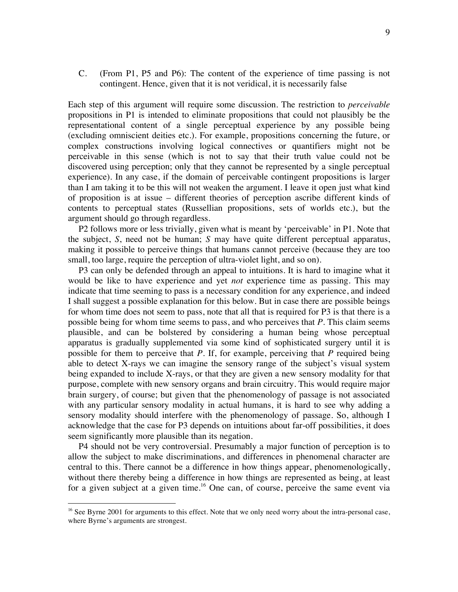C. (From P1, P5 and P6): The content of the experience of time passing is not contingent. Hence, given that it is not veridical, it is necessarily false

Each step of this argument will require some discussion. The restriction to *perceivable* propositions in P1 is intended to eliminate propositions that could not plausibly be the representational content of a single perceptual experience by any possible being (excluding omniscient deities etc.). For example, propositions concerning the future, or complex constructions involving logical connectives or quantifiers might not be perceivable in this sense (which is not to say that their truth value could not be discovered using perception; only that they cannot be represented by a single perceptual experience). In any case, if the domain of perceivable contingent propositions is larger than I am taking it to be this will not weaken the argument. I leave it open just what kind of proposition is at issue – different theories of perception ascribe different kinds of contents to perceptual states (Russellian propositions, sets of worlds etc.), but the argument should go through regardless.

P2 follows more or less trivially, given what is meant by 'perceivable' in P1. Note that the subject, *S*, need not be human; *S* may have quite different perceptual apparatus, making it possible to perceive things that humans cannot perceive (because they are too small, too large, require the perception of ultra-violet light, and so on).

P3 can only be defended through an appeal to intuitions. It is hard to imagine what it would be like to have experience and yet *not* experience time as passing. This may indicate that time seeming to pass is a necessary condition for any experience, and indeed I shall suggest a possible explanation for this below. But in case there are possible beings for whom time does not seem to pass, note that all that is required for P3 is that there is a possible being for whom time seems to pass, and who perceives that *P*. This claim seems plausible, and can be bolstered by considering a human being whose perceptual apparatus is gradually supplemented via some kind of sophisticated surgery until it is possible for them to perceive that *P*. If, for example, perceiving that *P* required being able to detect X-rays we can imagine the sensory range of the subject's visual system being expanded to include X-rays, or that they are given a new sensory modality for that purpose, complete with new sensory organs and brain circuitry. This would require major brain surgery, of course; but given that the phenomenology of passage is not associated with any particular sensory modality in actual humans, it is hard to see why adding a sensory modality should interfere with the phenomenology of passage. So, although I acknowledge that the case for P3 depends on intuitions about far-off possibilities, it does seem significantly more plausible than its negation.

P4 should not be very controversial. Presumably a major function of perception is to allow the subject to make discriminations, and differences in phenomenal character are central to this. There cannot be a difference in how things appear, phenomenologically, without there thereby being a difference in how things are represented as being, at least for a given subject at a given time.<sup>16</sup> One can, of course, perceive the same event via

<sup>&</sup>lt;sup>16</sup> See Byrne 2001 for arguments to this effect. Note that we only need worry about the intra-personal case, where Byrne's arguments are strongest.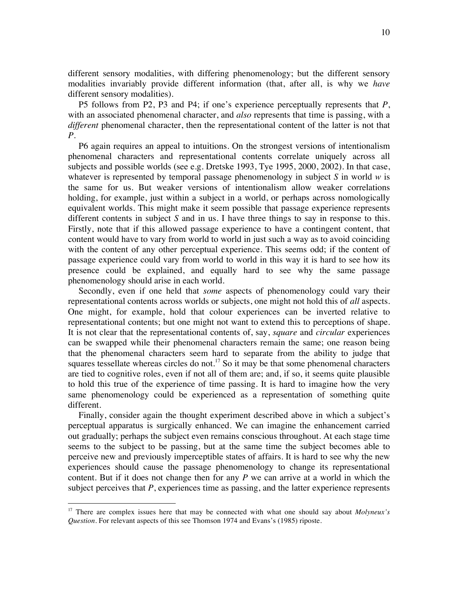different sensory modalities, with differing phenomenology; but the different sensory modalities invariably provide different information (that, after all, is why we *have* different sensory modalities).

P5 follows from P2, P3 and P4; if one's experience perceptually represents that *P*, with an associated phenomenal character, and *also* represents that time is passing, with a *different* phenomenal character, then the representational content of the latter is not that *P*.

P6 again requires an appeal to intuitions. On the strongest versions of intentionalism phenomenal characters and representational contents correlate uniquely across all subjects and possible worlds (see e.g. Dretske 1993, Tye 1995, 2000, 2002). In that case, whatever is represented by temporal passage phenomenology in subject *S* in world *w* is the same for us. But weaker versions of intentionalism allow weaker correlations holding, for example, just within a subject in a world, or perhaps across nomologically equivalent worlds. This might make it seem possible that passage experience represents different contents in subject *S* and in us. I have three things to say in response to this. Firstly, note that if this allowed passage experience to have a contingent content, that content would have to vary from world to world in just such a way as to avoid coinciding with the content of any other perceptual experience. This seems odd; if the content of passage experience could vary from world to world in this way it is hard to see how its presence could be explained, and equally hard to see why the same passage phenomenology should arise in each world.

Secondly, even if one held that *some* aspects of phenomenology could vary their representational contents across worlds or subjects, one might not hold this of *all* aspects. One might, for example, hold that colour experiences can be inverted relative to representational contents; but one might not want to extend this to perceptions of shape. It is not clear that the representational contents of, say, *square* and *circular* experiences can be swapped while their phenomenal characters remain the same; one reason being that the phenomenal characters seem hard to separate from the ability to judge that squares tessellate whereas circles do not.<sup>17</sup> So it may be that some phenomenal characters are tied to cognitive roles, even if not all of them are; and, if so, it seems quite plausible to hold this true of the experience of time passing. It is hard to imagine how the very same phenomenology could be experienced as a representation of something quite different.

Finally, consider again the thought experiment described above in which a subject's perceptual apparatus is surgically enhanced. We can imagine the enhancement carried out gradually; perhaps the subject even remains conscious throughout. At each stage time seems to the subject to be passing, but at the same time the subject becomes able to perceive new and previously imperceptible states of affairs. It is hard to see why the new experiences should cause the passage phenomenology to change its representational content. But if it does not change then for any *P* we can arrive at a world in which the subject perceives that *P*, experiences time as passing, and the latter experience represents

<sup>&</sup>lt;sup>17</sup> There are complex issues here that may be connected with what one should say about *Molyneux's Question*. For relevant aspects of this see Thomson 1974 and Evans's (1985) riposte.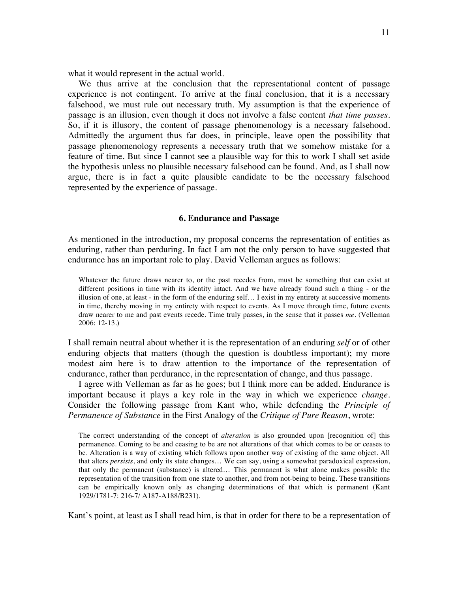what it would represent in the actual world.

We thus arrive at the conclusion that the representational content of passage experience is not contingent. To arrive at the final conclusion, that it is a necessary falsehood, we must rule out necessary truth. My assumption is that the experience of passage is an illusion, even though it does not involve a false content *that time passes*. So, if it is illusory, the content of passage phenomenology is a necessary falsehood. Admittedly the argument thus far does, in principle, leave open the possibility that passage phenomenology represents a necessary truth that we somehow mistake for a feature of time. But since I cannot see a plausible way for this to work I shall set aside the hypothesis unless no plausible necessary falsehood can be found. And, as I shall now argue, there is in fact a quite plausible candidate to be the necessary falsehood represented by the experience of passage.

#### **6. Endurance and Passage**

As mentioned in the introduction, my proposal concerns the representation of entities as enduring, rather than perduring. In fact I am not the only person to have suggested that endurance has an important role to play. David Velleman argues as follows:

Whatever the future draws nearer to, or the past recedes from, must be something that can exist at different positions in time with its identity intact. And we have already found such a thing - or the illusion of one, at least - in the form of the enduring self… I exist in my entirety at successive moments in time, thereby moving in my entirety with respect to events. As I move through time, future events draw nearer to me and past events recede. Time truly passes, in the sense that it passes *me*. (Velleman 2006: 12-13.)

I shall remain neutral about whether it is the representation of an enduring *self* or of other enduring objects that matters (though the question is doubtless important); my more modest aim here is to draw attention to the importance of the representation of endurance, rather than perdurance, in the representation of change, and thus passage.

I agree with Velleman as far as he goes; but I think more can be added. Endurance is important because it plays a key role in the way in which we experience *change*. Consider the following passage from Kant who, while defending the *Principle of Permanence of Substance* in the First Analogy of the *Critique of Pure Reason*, wrote:

The correct understanding of the concept of *alteration* is also grounded upon [recognition of] this permanence. Coming to be and ceasing to be are not alterations of that which comes to be or ceases to be. Alteration is a way of existing which follows upon another way of existing of the same object. All that alters *persists*, and only its state changes… We can say, using a somewhat paradoxical expression, that only the permanent (substance) is altered… This permanent is what alone makes possible the representation of the transition from one state to another, and from not-being to being. These transitions can be empirically known only as changing determinations of that which is permanent (Kant 1929/1781-7: 216-7/ A187-A188/B231).

Kant's point, at least as I shall read him, is that in order for there to be a representation of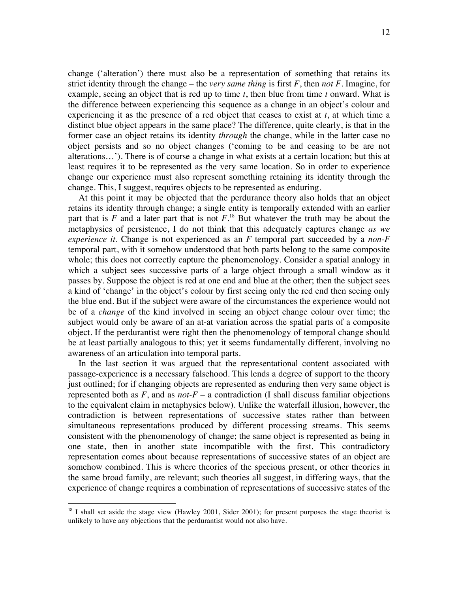change ('alteration') there must also be a representation of something that retains its strict identity through the change – the *very same thing* is first *F*, then *not F*. Imagine, for example, seeing an object that is red up to time *t*, then blue from time *t* onward. What is the difference between experiencing this sequence as a change in an object's colour and experiencing it as the presence of a red object that ceases to exist at *t*, at which time a distinct blue object appears in the same place? The difference, quite clearly, is that in the former case an object retains its identity *through* the change, while in the latter case no object persists and so no object changes ('coming to be and ceasing to be are not alterations…'). There is of course a change in what exists at a certain location; but this at least requires it to be represented as the very same location. So in order to experience change our experience must also represent something retaining its identity through the change. This, I suggest, requires objects to be represented as enduring.

At this point it may be objected that the perdurance theory also holds that an object retains its identity through change; a single entity is temporally extended with an earlier part that is  $F$  and a later part that is not  $F$ .<sup>18</sup> But whatever the truth may be about the metaphysics of persistence, I do not think that this adequately captures change *as we experience it*. Change is not experienced as an *F* temporal part succeeded by a *non-F* temporal part, with it somehow understood that both parts belong to the same composite whole; this does not correctly capture the phenomenology. Consider a spatial analogy in which a subject sees successive parts of a large object through a small window as it passes by. Suppose the object is red at one end and blue at the other; then the subject sees a kind of 'change' in the object's colour by first seeing only the red end then seeing only the blue end. But if the subject were aware of the circumstances the experience would not be of a *change* of the kind involved in seeing an object change colour over time; the subject would only be aware of an at-at variation across the spatial parts of a composite object. If the perdurantist were right then the phenomenology of temporal change should be at least partially analogous to this; yet it seems fundamentally different, involving no awareness of an articulation into temporal parts.

In the last section it was argued that the representational content associated with passage-experience is a necessary falsehood. This lends a degree of support to the theory just outlined; for if changing objects are represented as enduring then very same object is represented both as  $F$ , and as  $not-F$  – a contradiction (I shall discuss familiar objections to the equivalent claim in metaphysics below). Unlike the waterfall illusion, however, the contradiction is between representations of successive states rather than between simultaneous representations produced by different processing streams. This seems consistent with the phenomenology of change; the same object is represented as being in one state, then in another state incompatible with the first. This contradictory representation comes about because representations of successive states of an object are somehow combined. This is where theories of the specious present, or other theories in the same broad family, are relevant; such theories all suggest, in differing ways, that the experience of change requires a combination of representations of successive states of the

<sup>&</sup>lt;sup>18</sup> I shall set aside the stage view (Hawley 2001, Sider 2001); for present purposes the stage theorist is unlikely to have any objections that the perdurantist would not also have.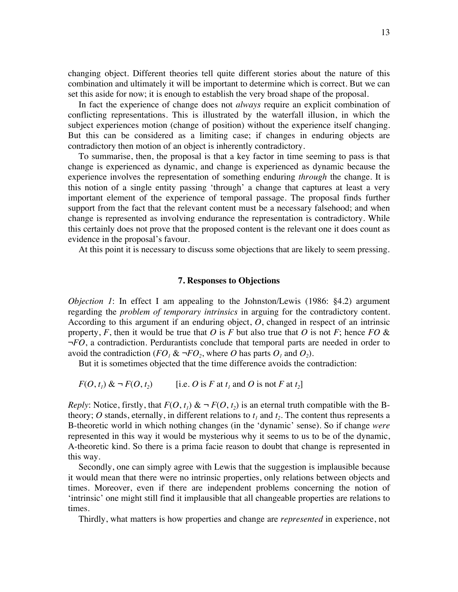changing object. Different theories tell quite different stories about the nature of this combination and ultimately it will be important to determine which is correct. But we can set this aside for now; it is enough to establish the very broad shape of the proposal.

In fact the experience of change does not *always* require an explicit combination of conflicting representations. This is illustrated by the waterfall illusion, in which the subject experiences motion (change of position) without the experience itself changing. But this can be considered as a limiting case; if changes in enduring objects are contradictory then motion of an object is inherently contradictory.

To summarise, then, the proposal is that a key factor in time seeming to pass is that change is experienced as dynamic, and change is experienced as dynamic because the experience involves the representation of something enduring *through* the change. It is this notion of a single entity passing 'through' a change that captures at least a very important element of the experience of temporal passage. The proposal finds further support from the fact that the relevant content must be a necessary falsehood; and when change is represented as involving endurance the representation is contradictory. While this certainly does not prove that the proposed content is the relevant one it does count as evidence in the proposal's favour.

At this point it is necessary to discuss some objections that are likely to seem pressing.

# **7. Responses to Objections**

*Objection 1*: In effect I am appealing to the Johnston/Lewis (1986: §4.2) argument regarding the *problem of temporary intrinsics* in arguing for the contradictory content. According to this argument if an enduring object, *O*, changed in respect of an intrinsic property,  $F$ , then it would be true that  $O$  is  $F$  but also true that  $O$  is not  $F$ ; hence  $FO \&$ ¬*FO*, a contradiction. Perdurantists conclude that temporal parts are needed in order to avoid the contradiction (*FO<sub>1</sub>* &  $\neg FO_2$ , where *O* has parts  $O_1$  and  $O_2$ ).

But it is sometimes objected that the time difference avoids the contradiction:

 $F(O, t_1) \& \neg F(O, t_2)$  [i.e. *O* is *F* at  $t_1$  and *O* is not *F* at  $t_2$ ]

*Reply*: Notice, firstly, that  $F(O, t_1) \& \neg F(O, t_2)$  is an eternal truth compatible with the Btheory; O stands, eternally, in different relations to  $t_1$  and  $t_2$ . The content thus represents a B-theoretic world in which nothing changes (in the 'dynamic' sense). So if change *were* represented in this way it would be mysterious why it seems to us to be of the dynamic, A-theoretic kind. So there is a prima facie reason to doubt that change is represented in this way.

Secondly, one can simply agree with Lewis that the suggestion is implausible because it would mean that there were no intrinsic properties, only relations between objects and times. Moreover, even if there are independent problems concerning the notion of 'intrinsic' one might still find it implausible that all changeable properties are relations to times.

Thirdly, what matters is how properties and change are *represented* in experience, not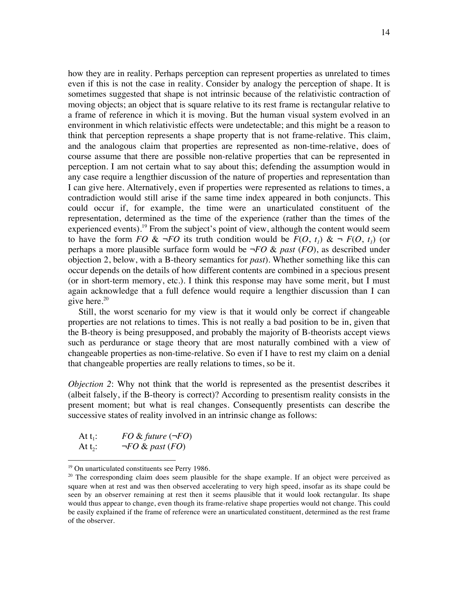how they are in reality. Perhaps perception can represent properties as unrelated to times even if this is not the case in reality. Consider by analogy the perception of shape. It is sometimes suggested that shape is not intrinsic because of the relativistic contraction of moving objects; an object that is square relative to its rest frame is rectangular relative to a frame of reference in which it is moving. But the human visual system evolved in an environment in which relativistic effects were undetectable; and this might be a reason to think that perception represents a shape property that is not frame-relative. This claim, and the analogous claim that properties are represented as non-time-relative, does of course assume that there are possible non-relative properties that can be represented in perception. I am not certain what to say about this; defending the assumption would in any case require a lengthier discussion of the nature of properties and representation than I can give here. Alternatively, even if properties were represented as relations to times, a contradiction would still arise if the same time index appeared in both conjuncts. This could occur if, for example, the time were an unarticulated constituent of the representation, determined as the time of the experience (rather than the times of the experienced events).<sup>19</sup> From the subject's point of view, although the content would seem to have the form *FO* &  $\neg$ *FO* its truth condition would be  $F(O, t_1)$  &  $\neg$   $F(O, t_1)$  (or perhaps a more plausible surface form would be ¬*FO* & *past* (*FO*), as described under objection 2, below, with a B-theory semantics for *past*). Whether something like this can occur depends on the details of how different contents are combined in a specious present (or in short-term memory, etc.). I think this response may have some merit, but I must again acknowledge that a full defence would require a lengthier discussion than I can give here. $20$ 

Still, the worst scenario for my view is that it would only be correct if changeable properties are not relations to times. This is not really a bad position to be in, given that the B-theory is being presupposed, and probably the majority of B-theorists accept views such as perdurance or stage theory that are most naturally combined with a view of changeable properties as non-time-relative. So even if I have to rest my claim on a denial that changeable properties are really relations to times, so be it.

*Objection 2*: Why not think that the world is represented as the presentist describes it (albeit falsely, if the B-theory is correct)? According to presentism reality consists in the present moment; but what is real changes. Consequently presentists can describe the successive states of reality involved in an intrinsic change as follows:

At  $t_1$ : *FO & future*  $(\neg FO)$ At t<sub>2</sub>:  $\neg FO \& past(FO)$ 

<sup>&</sup>lt;sup>19</sup> On unarticulated constituents see Perry 1986.

<sup>&</sup>lt;sup>20</sup> The corresponding claim does seem plausible for the shape example. If an object were perceived as square when at rest and was then observed accelerating to very high speed, insofar as its shape could be seen by an observer remaining at rest then it seems plausible that it would look rectangular. Its shape would thus appear to change, even though its frame-relative shape properties would not change. This could be easily explained if the frame of reference were an unarticulated constituent, determined as the rest frame of the observer.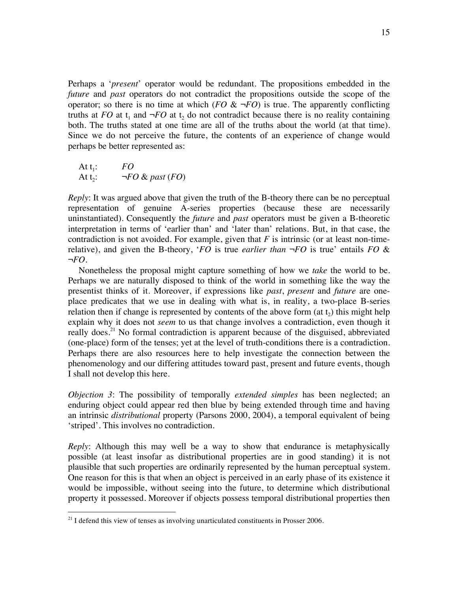Perhaps a '*present*' operator would be redundant. The propositions embedded in the *future* and *past* operators do not contradict the propositions outside the scope of the operator; so there is no time at which (*FO* &  $\neg$ *FO*) is true. The apparently conflicting truths at *FO* at  $t_1$  and  $\neg FO$  at  $t_2$  do not contradict because there is no reality containing both. The truths stated at one time are all of the truths about the world (at that time). Since we do not perceive the future, the contents of an experience of change would perhaps be better represented as:

At t<sub>1</sub>: 
$$
FO
$$
  
At t<sub>2</sub>:  $\neg FO \& past(FO)$ 

*Reply*: It was argued above that given the truth of the B-theory there can be no perceptual representation of genuine A-series properties (because these are necessarily uninstantiated). Consequently the *future* and *past* operators must be given a B-theoretic interpretation in terms of 'earlier than' and 'later than' relations. But, in that case, the contradiction is not avoided. For example, given that  $F$  is intrinsic (or at least non-timerelative), and given the B-theory, '*FO* is true *earlier than* ¬*FO* is true' entails *FO* & ¬*FO*.

Nonetheless the proposal might capture something of how we *take* the world to be. Perhaps we are naturally disposed to think of the world in something like the way the presentist thinks of it. Moreover, if expressions like *past*, *present* and *future* are oneplace predicates that we use in dealing with what is, in reality, a two-place B-series relation then if change is represented by contents of the above form  $(at t<sub>2</sub>)$  this might help explain why it does not *seem* to us that change involves a contradiction, even though it really does.<sup>21</sup> No formal contradiction is apparent because of the disguised, abbreviated (one-place) form of the tenses; yet at the level of truth-conditions there is a contradiction. Perhaps there are also resources here to help investigate the connection between the phenomenology and our differing attitudes toward past, present and future events, though I shall not develop this here.

*Objection 3*: The possibility of temporally *extended simples* has been neglected; an enduring object could appear red then blue by being extended through time and having an intrinsic *distributional* property (Parsons 2000, 2004), a temporal equivalent of being 'striped'. This involves no contradiction.

*Reply:* Although this may well be a way to show that endurance is metaphysically possible (at least insofar as distributional properties are in good standing) it is not plausible that such properties are ordinarily represented by the human perceptual system. One reason for this is that when an object is perceived in an early phase of its existence it would be impossible, without seeing into the future, to determine which distributional property it possessed. Moreover if objects possess temporal distributional properties then

 $21$  I defend this view of tenses as involving unarticulated constituents in Prosser 2006.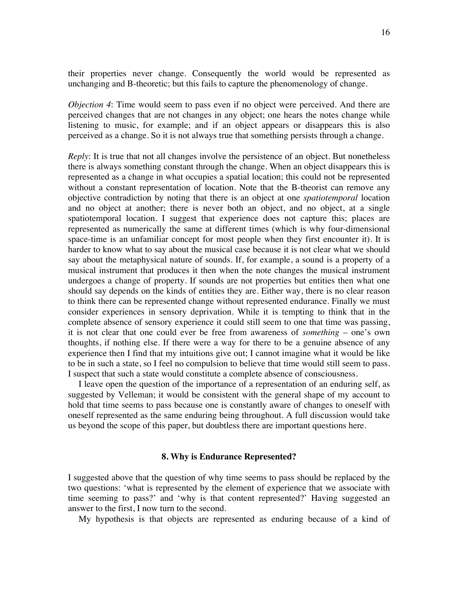their properties never change. Consequently the world would be represented as unchanging and B-theoretic; but this fails to capture the phenomenology of change.

*Objection 4*: Time would seem to pass even if no object were perceived. And there are perceived changes that are not changes in any object; one hears the notes change while listening to music, for example; and if an object appears or disappears this is also perceived as a change. So it is not always true that something persists through a change.

*Reply*: It is true that not all changes involve the persistence of an object. But nonetheless there is always something constant through the change. When an object disappears this is represented as a change in what occupies a spatial location; this could not be represented without a constant representation of location. Note that the B-theorist can remove any objective contradiction by noting that there is an object at one *spatiotemporal* location and no object at another; there is never both an object, and no object, at a single spatiotemporal location. I suggest that experience does not capture this; places are represented as numerically the same at different times (which is why four-dimensional space-time is an unfamiliar concept for most people when they first encounter it). It is harder to know what to say about the musical case because it is not clear what we should say about the metaphysical nature of sounds. If, for example, a sound is a property of a musical instrument that produces it then when the note changes the musical instrument undergoes a change of property. If sounds are not properties but entities then what one should say depends on the kinds of entities they are. Either way, there is no clear reason to think there can be represented change without represented endurance. Finally we must consider experiences in sensory deprivation. While it is tempting to think that in the complete absence of sensory experience it could still seem to one that time was passing, it is not clear that one could ever be free from awareness of *something* – one's own thoughts, if nothing else. If there were a way for there to be a genuine absence of any experience then I find that my intuitions give out; I cannot imagine what it would be like to be in such a state, so I feel no compulsion to believe that time would still seem to pass. I suspect that such a state would constitute a complete absence of consciousness.

I leave open the question of the importance of a representation of an enduring self, as suggested by Velleman; it would be consistent with the general shape of my account to hold that time seems to pass because one is constantly aware of changes to oneself with oneself represented as the same enduring being throughout. A full discussion would take us beyond the scope of this paper, but doubtless there are important questions here.

## **8. Why is Endurance Represented?**

I suggested above that the question of why time seems to pass should be replaced by the two questions: 'what is represented by the element of experience that we associate with time seeming to pass?' and 'why is that content represented?' Having suggested an answer to the first, I now turn to the second.

My hypothesis is that objects are represented as enduring because of a kind of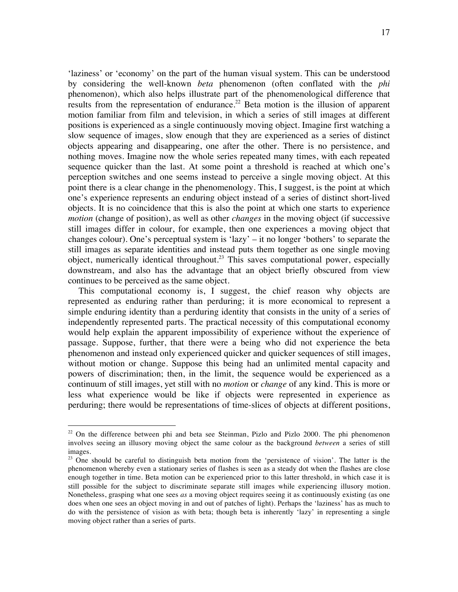'laziness' or 'economy' on the part of the human visual system. This can be understood by considering the well-known *beta* phenomenon (often conflated with the *phi* phenomenon), which also helps illustrate part of the phenomenological difference that results from the representation of endurance.<sup>22</sup> Beta motion is the illusion of apparent motion familiar from film and television, in which a series of still images at different positions is experienced as a single continuously moving object. Imagine first watching a slow sequence of images, slow enough that they are experienced as a series of distinct objects appearing and disappearing, one after the other. There is no persistence, and nothing moves. Imagine now the whole series repeated many times, with each repeated sequence quicker than the last. At some point a threshold is reached at which one's perception switches and one seems instead to perceive a single moving object. At this point there is a clear change in the phenomenology. This, I suggest, is the point at which one's experience represents an enduring object instead of a series of distinct short-lived objects. It is no coincidence that this is also the point at which one starts to experience *motion* (change of position), as well as other *changes* in the moving object (if successive still images differ in colour, for example, then one experiences a moving object that changes colour). One's perceptual system is 'lazy' – it no longer 'bothers' to separate the still images as separate identities and instead puts them together as one single moving object, numerically identical throughout.<sup>23</sup> This saves computational power, especially downstream, and also has the advantage that an object briefly obscured from view continues to be perceived as the same object.

This computational economy is, I suggest, the chief reason why objects are represented as enduring rather than perduring; it is more economical to represent a simple enduring identity than a perduring identity that consists in the unity of a series of independently represented parts. The practical necessity of this computational economy would help explain the apparent impossibility of experience without the experience of passage. Suppose, further, that there were a being who did not experience the beta phenomenon and instead only experienced quicker and quicker sequences of still images, without motion or change. Suppose this being had an unlimited mental capacity and powers of discrimination; then, in the limit, the sequence would be experienced as a continuum of still images, yet still with no *motion* or *change* of any kind. This is more or less what experience would be like if objects were represented in experience as perduring; there would be representations of time-slices of objects at different positions,

 $22$  On the difference between phi and beta see Steinman, Pizlo and Pizlo 2000. The phi phenomenon involves seeing an illusory moving object the same colour as the background *between* a series of still images.

<sup>&</sup>lt;sup>23</sup> One should be careful to distinguish beta motion from the 'persistence of vision'. The latter is the phenomenon whereby even a stationary series of flashes is seen as a steady dot when the flashes are close enough together in time. Beta motion can be experienced prior to this latter threshold, in which case it is still possible for the subject to discriminate separate still images while experiencing illusory motion. Nonetheless, grasping what one sees *as* a moving object requires seeing it as continuously existing (as one does when one sees an object moving in and out of patches of light). Perhaps the 'laziness' has as much to do with the persistence of vision as with beta; though beta is inherently 'lazy' in representing a single moving object rather than a series of parts.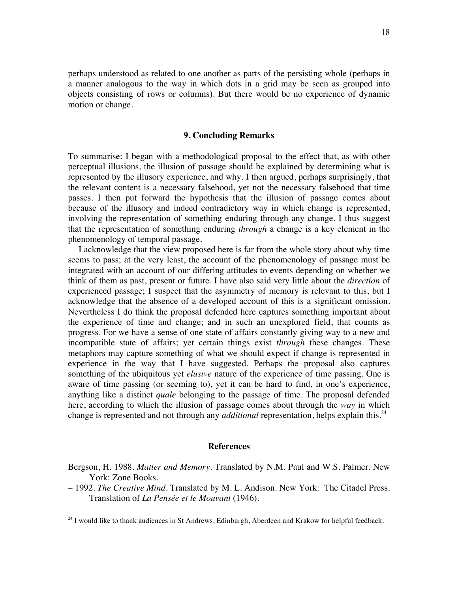perhaps understood as related to one another as parts of the persisting whole (perhaps in a manner analogous to the way in which dots in a grid may be seen as grouped into objects consisting of rows or columns). But there would be no experience of dynamic motion or change.

## **9. Concluding Remarks**

To summarise: I began with a methodological proposal to the effect that, as with other perceptual illusions, the illusion of passage should be explained by determining what is represented by the illusory experience, and why. I then argued, perhaps surprisingly, that the relevant content is a necessary falsehood, yet not the necessary falsehood that time passes. I then put forward the hypothesis that the illusion of passage comes about because of the illusory and indeed contradictory way in which change is represented, involving the representation of something enduring through any change. I thus suggest that the representation of something enduring *through* a change is a key element in the phenomenology of temporal passage.

I acknowledge that the view proposed here is far from the whole story about why time seems to pass; at the very least, the account of the phenomenology of passage must be integrated with an account of our differing attitudes to events depending on whether we think of them as past, present or future. I have also said very little about the *direction* of experienced passage; I suspect that the asymmetry of memory is relevant to this, but I acknowledge that the absence of a developed account of this is a significant omission. Nevertheless I do think the proposal defended here captures something important about the experience of time and change; and in such an unexplored field, that counts as progress. For we have a sense of one state of affairs constantly giving way to a new and incompatible state of affairs; yet certain things exist *through* these changes. These metaphors may capture something of what we should expect if change is represented in experience in the way that I have suggested. Perhaps the proposal also captures something of the ubiquitous yet *elusive* nature of the experience of time passing. One is aware of time passing (or seeming to), yet it can be hard to find, in one's experience, anything like a distinct *quale* belonging to the passage of time. The proposal defended here, according to which the illusion of passage comes about through the *way* in which change is represented and not through any *additional* representation, helps explain this.<sup>24</sup>

#### **References**

- Bergson, H. 1988. *Matter and Memory*. Translated by N.M. Paul and W.S. Palmer. New York: Zone Books.
- 1992. *The Creative Mind*. Translated by M. L. Andison. New York: The Citadel Press. Translation of *La Pensée et le Mouvant* (1946).

<sup>&</sup>lt;sup>24</sup> I would like to thank audiences in St Andrews, Edinburgh, Aberdeen and Krakow for helpful feedback.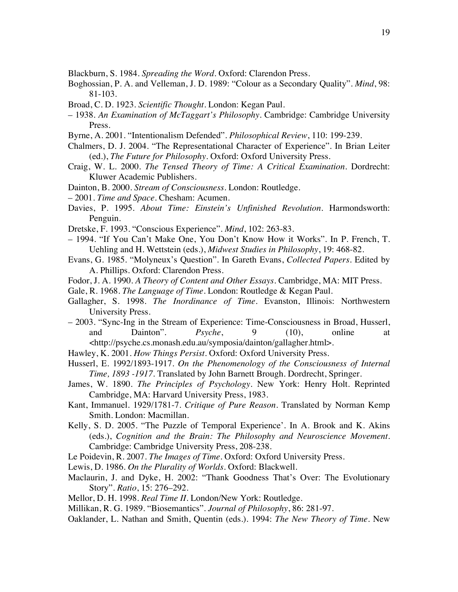- Blackburn, S. 1984. *Spreading the Word*. Oxford: Clarendon Press.
- Boghossian, P. A. and Velleman, J. D. 1989: "Colour as a Secondary Quality". *Mind*, 98: 81-103.
- Broad, C. D. 1923. *Scientific Thought*. London: Kegan Paul.
- 1938. *An Examination of McTaggart's Philosophy*. Cambridge: Cambridge University Press.
- Byrne, A. 2001. "Intentionalism Defended". *Philosophical Review*, 110: 199-239.
- Chalmers, D. J. 2004. "The Representational Character of Experience". In Brian Leiter (ed.), *The Future for Philosophy*. Oxford: Oxford University Press.
- Craig, W. L. 2000. *The Tensed Theory of Time: A Critical Examination*. Dordrecht: Kluwer Academic Publishers.
- Dainton, B. 2000. *Stream of Consciousness*. London: Routledge.
- 2001. *Time and Space*. Chesham: Acumen.
- Davies, P. 1995. *About Time: Einstein's Unfinished Revolution*. Harmondsworth: Penguin.
- Dretske, F. 1993. "Conscious Experience". *Mind*, 102: 263-83.
- 1994. "If You Can't Make One, You Don't Know How it Works". In P. French, T. Uehling and H. Wettstein (eds.), *Midwest Studies in Philosophy*, 19: 468-82.
- Evans, G. 1985. "Molyneux's Question". In Gareth Evans, *Collected Papers*. Edited by A. Phillips. Oxford: Clarendon Press.
- Fodor, J. A. 1990. *A Theory of Content and Other Essays*. Cambridge, MA: MIT Press.
- Gale, R. 1968. *The Language of Time*. London: Routledge & Kegan Paul.
- Gallagher, S. 1998. *The Inordinance of Time*. Evanston, Illinois: Northwestern University Press.
- 2003. "Sync-Ing in the Stream of Experience: Time-Consciousness in Broad, Husserl, and Dainton". *Psyche*, 9 (10), online at <http://psyche.cs.monash.edu.au/symposia/dainton/gallagher.html>.
- Hawley, K. 2001. *How Things Persist*. Oxford: Oxford University Press.
- Husserl, E. 1992/1893-1917. *On the Phenomenology of the Consciousness of Internal Time, 1893 -1917*. Translated by John Barnett Brough. Dordrecht, Springer.
- James, W. 1890. *The Principles of Psychology*. New York: Henry Holt. Reprinted Cambridge, MA: Harvard University Press, 1983.
- Kant, Immanuel. 1929/1781-7. *Critique of Pure Reason*. Translated by Norman Kemp Smith. London: Macmillan.
- Kelly, S. D. 2005. "The Puzzle of Temporal Experience'. In A. Brook and K. Akins (eds.), *Cognition and the Brain: The Philosophy and Neuroscience Movement*. Cambridge: Cambridge University Press, 208-238.
- Le Poidevin, R. 2007. *The Images of Time*. Oxford: Oxford University Press.
- Lewis, D. 1986. *On the Plurality of Worlds*. Oxford: Blackwell.
- Maclaurin, J. and Dyke, H. 2002: "Thank Goodness That's Over: The Evolutionary Story". *Ratio*, 15: 276–292.
- Mellor, D. H. 1998. *Real Time II*. London/New York: Routledge.
- Millikan, R. G. 1989. "Biosemantics". *Journal of Philosophy*, 86: 281-97.
- Oaklander, L. Nathan and Smith, Quentin (eds.). 1994: *The New Theory of Time*. New